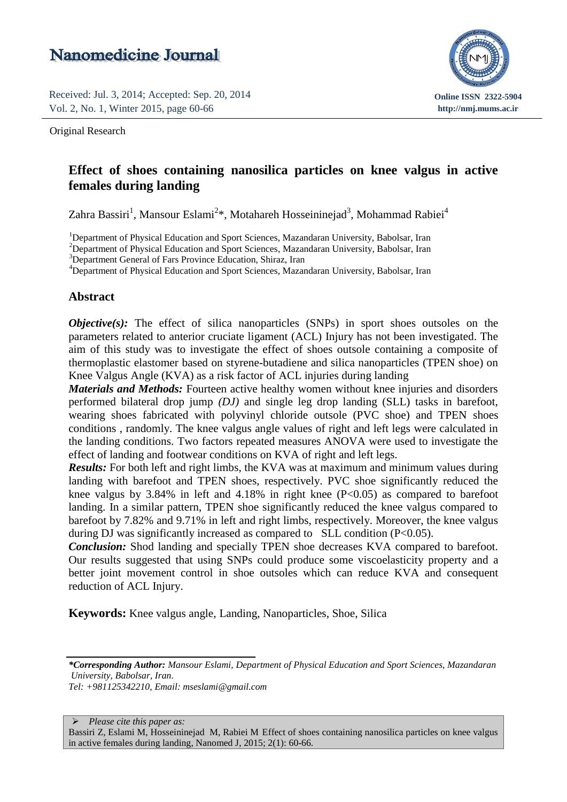# Nanomedicine Journal

Received: Jul. 3, 2014; Accepted: Sep. 20, 2014 Vol. 2, No. 1, Winter 2015, page 60-66

Original Research



# Effect of shoes containing nanosilica particles on knee valgus in active females during landing

Zahra Bassiri<sup>1</sup>, Mansour Eslami<sup>2\*</sup>, Motahareh Hosseininejad<sup>3</sup>, Mohammad Rabiei<sup>4</sup>

<sup>1</sup>Department of Physical Education and Sport Sciences, Mazandaran University, Babolsar, Iran

<sup>2</sup>Department of Physical Education and Sport Sciences, Mazandaran University, Babolsar, Iran

<sup>3</sup>Department General of Fars Province Education, Shiraz, Iran

<sup>4</sup>Department of Physical Education and Sport Sciences, Mazandaran University, Babolsar, Iran

#### **Abstract**

*Objective(s):* The effect of silica nanoparticles (SNPs) in sport shoes outsoles on the parameters related to anterior cruciate ligament (ACL) Injury has not been investigated. The aim of this study was to investigate the effect of shoes outsole containing a composite of thermoplastic elastomer based on styrene-butadiene and silica nanoparticles (TPEN shoe) on Knee Valgus Angle (KVA) as a risk factor of ACL injuries during landing

*Materials and Methods:* Fourteen active healthy women without knee injuries and disorders performed bilateral drop jump *(DJ)* and single leg drop landing (SLL) tasks in barefoot, wearing shoes fabricated with polyvinyl chloride outsole (PVC shoe) and TPEN shoes conditions , randomly. The knee valgus angle values of right and left legs were calculated in the landing conditions. Two factors repeated measures ANOVA were used to investigate the effect of landing and footwear conditions on KVA of right and left legs.

*Results:* For both left and right limbs, the KVA was at maximum and minimum values during landing with barefoot and TPEN shoes, respectively. PVC shoe significantly reduced the knee valgus by  $3.84\%$  in left and  $4.18\%$  in right knee (P<0.05) as compared to barefoot landing. In a similar pattern, TPEN shoe significantly reduced the knee valgus compared to barefoot by 7.82% and 9.71% in left and right limbs, respectively. Moreover, the knee valgus during DJ was significantly increased as compared to SLL condition (P<0.05).

*Conclusion:* Shod landing and specially TPEN shoe decreases KVA compared to barefoot. Our results suggested that using SNPs could produce some viscoelasticity property and a better joint movement control in shoe outsoles which can reduce KVA and consequent reduction of ACL Injury.

**Keywords:** Knee valgus angle, Landing, Nanoparticles, Shoe, Silica

*Tel: +981125342210, Email: mseslami@gmail.com*

*Please cite this paper as:*

Bassiri Z, Eslami M, Hosseininejad M, Rabiei M Effect of shoes containing nanosilica particles on knee valgus in active females during landing, Nanomed J, 2015; 2(1): 60-66.

*<sup>\*</sup>Corresponding Author: Mansour Eslami, Department of Physical Education and Sport Sciences, Mazandaran University, Babolsar, Iran.*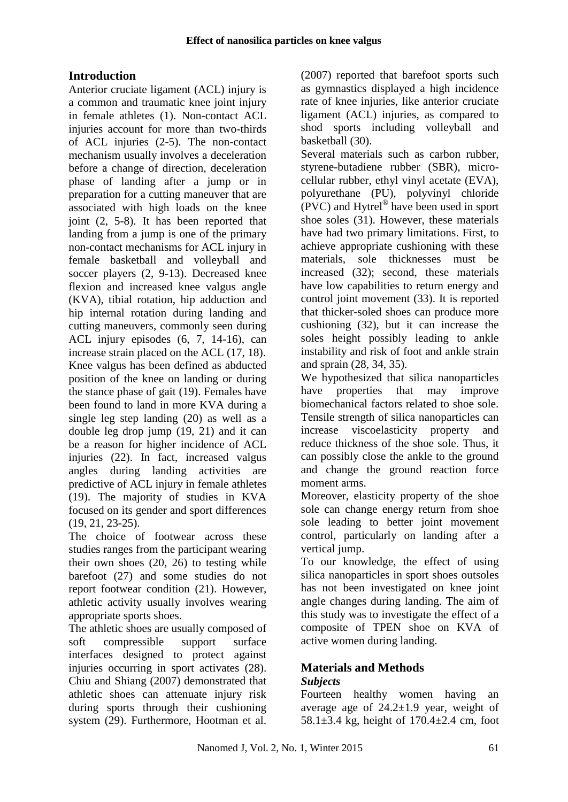# **Introduction**

Anterior cruciate ligament (ACL) injury is a common and traumatic knee joint injury in female athletes (1). Non-contact ACL injuries account for more than two-thirds of ACL injuries (2-5). The non-contact mechanism usually involves a deceleration before a change of direction, deceleration phase of landing after a jump or in preparation for a cutting maneuver that are associated with high loads on the knee joint (2, 5-8). It has been reported that landing from a jump is one of the primary non-contact mechanisms for ACL injury in female basketball and volleyball and soccer players (2, 9-13). Decreased knee flexion and increased knee valgus angle (KVA), tibial rotation, hip adduction and hip internal rotation during landing and cutting maneuvers, commonly seen during ACL injury episodes (6, 7, 14-16), can increase strain placed on the ACL (17, 18). Knee valgus has been defined as abducted position of the knee on landing or during the stance phase of gait (19). Females have been found to land in more KVA during a single leg step landing (20) as well as a double leg drop jump (19, 21) and it can be a reason for higher incidence of ACL injuries (22). In fact, increased valgus angles during landing activities are predictive of ACL injury in female athletes (19). The majority of studies in KVA focused on its gender and sport differences (19, 21, 23-25).

The choice of footwear across these studies ranges from the participant wearing their own shoes (20, 26) to testing while barefoot (27) and some studies do not report footwear condition (21). However, athletic activity usually involves wearing appropriate sports shoes.

The athletic shoes are usually composed of soft compressible support surface interfaces designed to protect against injuries occurring in sport activates (28). Chiu and Shiang (2007) demonstrated that athletic shoes can attenuate injury risk during sports through their cushioning system (29). Furthermore, Hootman et al. (2007) reported that barefoot sports such as gymnastics displayed a high incidence rate of knee injuries, like anterior cruciate ligament (ACL) injuries, as compared to shod sports including volleyball and basketball (30).

Several materials such as carbon rubber, styrene-butadiene rubber (SBR), microcellular rubber, ethyl vinyl acetate (EVA), polyurethane (PU), polyvinyl chloride (PVC) and Hytrel® have been used in sport shoe soles (31). However, these materials have had two primary limitations. First, to achieve appropriate cushioning with these materials, sole thicknesses must be increased (32); second, these materials have low capabilities to return energy and control joint movement (33). It is reported that thicker-soled shoes can produce more cushioning (32), but it can increase the soles height possibly leading to ankle instability and risk of foot and ankle strain and sprain (28, 34, 35).

We hypothesized that silica nanoparticles have properties that may improve biomechanical factors related to shoe sole. Tensile strength of silica nanoparticles can increase viscoelasticity property and reduce thickness of the shoe sole. Thus, it can possibly close the ankle to the ground and change the ground reaction force moment arms.

Moreover, elasticity property of the shoe sole can change energy return from shoe sole leading to better joint movement control, particularly on landing after a vertical jump.

To our knowledge, the effect of using silica nanoparticles in sport shoes outsoles has not been investigated on knee joint angle changes during landing. The aim of this study was to investigate the effect of a composite of TPEN shoe on KVA of active women during landing.

### **Materials and Methods** *Subjects*

Fourteen healthy women having an average age of  $24.2 \pm 1.9$  year, weight of 58.1±3.4 kg, height of 170.4±2.4 cm, foot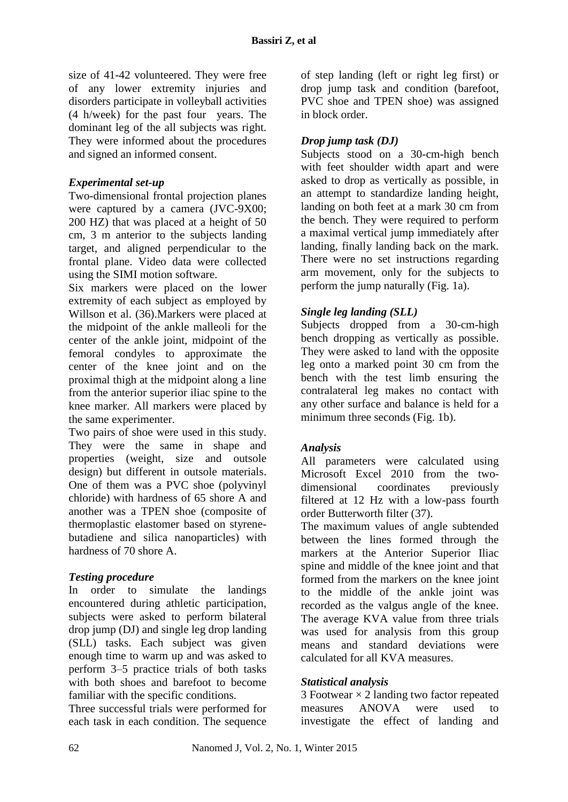size of 41-42 volunteered. They were free of any lower extremity injuries and disorders participate in volleyball activities (4 h/week) for the past four years. The dominant leg of the all subjects was right. They were informed about the procedures and signed an informed consent.

## *Experimental set-up*

Two-dimensional frontal projection planes were captured by a camera (JVC-9X00; 200 HZ) that was placed at a height of 50 cm, 3 m anterior to the subjects landing target, and aligned perpendicular to the frontal plane. Video data were collected using the SIMI motion software.

Six markers were placed on the lower extremity of each subject as employed by Willson et al. (36).Markers were placed at the midpoint of the ankle malleoli for the center of the ankle joint, midpoint of the femoral condyles to approximate the center of the knee joint and on the proximal thigh at the midpoint along a line from the anterior superior iliac spine to the knee marker. All markers were placed by the same experimenter.

Two pairs of shoe were used in this study. They were the same in shape and properties (weight, size and outsole design) but different in outsole materials. One of them was a PVC shoe (polyvinyl chloride) with hardness of 65 shore A and another was a TPEN shoe (composite of thermoplastic elastomer based on styrenebutadiene and silica nanoparticles) with hardness of 70 shore A.

### *Testing procedure*

In order to simulate the landings encountered during athletic participation, subjects were asked to perform bilateral drop jump (DJ) and single leg drop landing (SLL) tasks. Each subject was given enough time to warm up and was asked to perform 3–5 practice trials of both tasks with both shoes and barefoot to become familiar with the specific conditions.

Three successful trials were performed for each task in each condition. The sequence

of step landing (left or right leg first) or drop jump task and condition (barefoot, PVC shoe and TPEN shoe) was assigned in block order.

## *Drop jump task (DJ)*

Subjects stood on a 30-cm-high bench with feet shoulder width apart and were asked to drop as vertically as possible, in an attempt to standardize landing height, landing on both feet at a mark 30 cm from the bench. They were required to perform a maximal vertical jump immediately after landing, finally landing back on the mark. There were no set instructions regarding arm movement, only for the subjects to perform the jump naturally (Fig. 1a).

# *Single leg landing (SLL)*

Subjects dropped from a 30-cm-high bench dropping as vertically as possible. They were asked to land with the opposite leg onto a marked point 30 cm from the bench with the test limb ensuring the contralateral leg makes no contact with any other surface and balance is held for a minimum three seconds (Fig. 1b).

### *Analysis*

All parameters were calculated using Microsoft Excel 2010 from the twodimensional coordinates previously filtered at 12 Hz with a low-pass fourth order Butterworth filter (37).

The maximum values of angle subtended between the lines formed through the markers at the Anterior Superior Iliac spine and middle of the knee joint and that formed from the markers on the knee joint to the middle of the ankle joint was recorded as the valgus angle of the knee. The average KVA value from three trials was used for analysis from this group means and standard deviations were calculated for all KVA measures.

### *Statistical analysis*

3 Footwear  $\times$  2 landing two factor repeated measures ANOVA were used to investigate the effect of landing and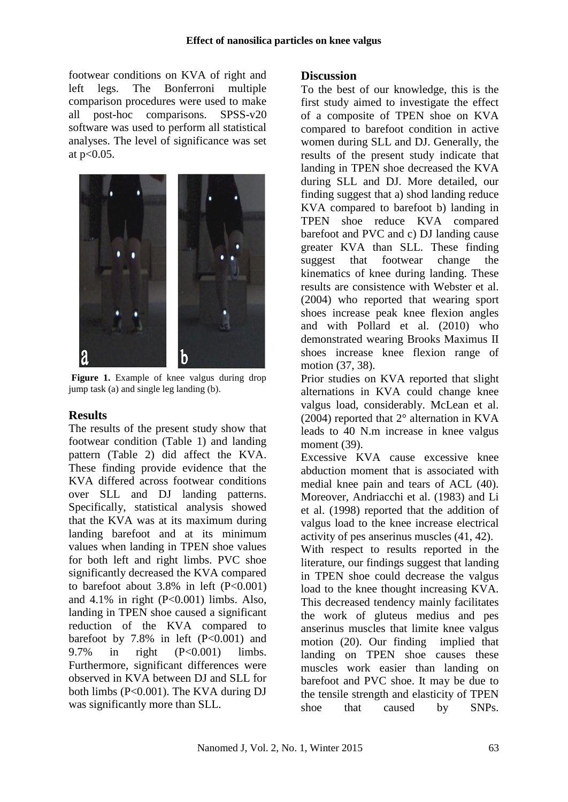footwear conditions on KVA of right and left legs. The Bonferroni multiple comparison procedures were used to make all post-hoc comparisons. SPSS-v20 software was used to perform all statistical analyses. The level of significance was set at  $p<0.05$ .



Figure 1. Example of knee valgus during drop jump task (a) and single leg landing (b).

# **Results**

The results of the present study show that footwear condition (Table 1) and landing pattern (Table 2) did affect the KVA. These finding provide evidence that the KVA differed across footwear conditions over SLL and DJ landing patterns. Specifically, statistical analysis showed that the KVA was at its maximum during landing barefoot and at its minimum values when landing in TPEN shoe values for both left and right limbs. PVC shoe significantly decreased the KVA compared to barefoot about  $3.8\%$  in left (P<0.001) and  $4.1\%$  in right (P<0.001) limbs. Also, landing in TPEN shoe caused a significant reduction of the KVA compared to barefoot by  $7.8\%$  in left  $(P<0.001)$  and 9.7% in right (P<0.001) limbs. Furthermore, significant differences were observed in KVA between DJ and SLL for both limbs (P<0.001). The KVA during DJ was significantly more than SLL.

# **Discussion**

To the best of our knowledge, this is the first study aimed to investigate the effect of a composite of TPEN shoe on KVA compared to barefoot condition in active women during SLL and DJ. Generally, the results of the present study indicate that landing in TPEN shoe decreased the KVA during SLL and DJ. More detailed, our finding suggest that a) shod landing reduce KVA compared to barefoot b) landing in TPEN shoe reduce KVA compared barefoot and PVC and c) DJ landing cause greater KVA than SLL. These finding suggest that footwear change the kinematics of knee during landing. These results are consistence with Webster et al. (2004) who reported that wearing sport shoes increase peak knee flexion angles and with Pollard et al. (2010) who demonstrated wearing Brooks Maximus II shoes increase knee flexion range of motion (37, 38).

Prior studies on KVA reported that slight alternations in KVA could change knee valgus load, considerably. McLean et al. (2004) reported that 2° alternation in KVA leads to 40 N.m increase in knee valgus moment (39).

Excessive KVA cause excessive knee abduction moment that is associated with medial knee pain and tears of ACL (40). Moreover, Andriacchi et al. (1983) and Li et al. (1998) reported that the addition of valgus load to the knee increase electrical activity of pes anserinus muscles (41, 42).

With respect to results reported in the literature, our findings suggest that landing in TPEN shoe could decrease the valgus load to the knee thought increasing KVA. This decreased tendency mainly facilitates the work of gluteus medius and pes anserinus muscles that limite knee valgus motion (20). Our finding implied that landing on TPEN shoe causes these muscles work easier than landing on barefoot and PVC shoe. It may be due to the tensile strength and elasticity of TPEN shoe that caused by SNPs.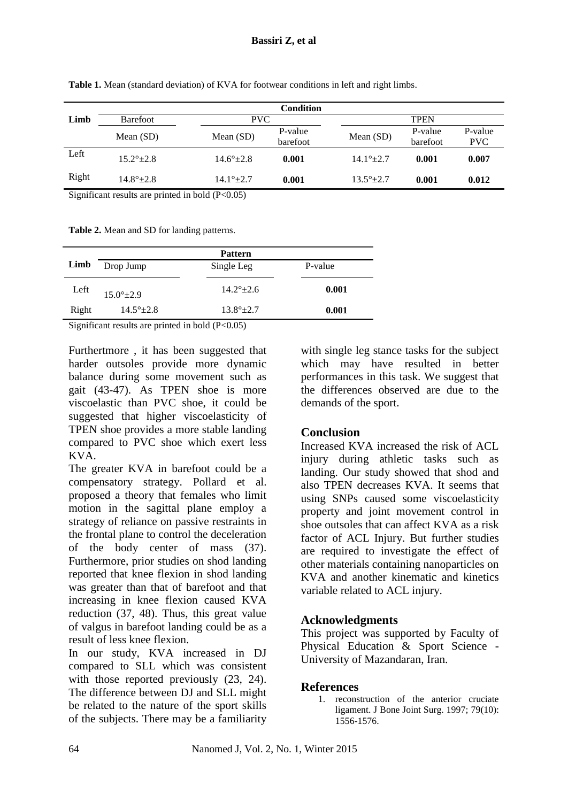|       | <b>Condition</b>   |                      |                     |                      |                     |                       |  |
|-------|--------------------|----------------------|---------------------|----------------------|---------------------|-----------------------|--|
| Limb  | <b>Barefoot</b>    | <b>PVC</b>           |                     | <b>TPEN</b>          |                     |                       |  |
|       | Mean $(SD)$        | Mean $(SD)$          | P-value<br>barefoot | Mean $(SD)$          | P-value<br>barefoot | P-value<br><b>PVC</b> |  |
| Left  | $15.2^{\circ}+2.8$ | $14.6^{\circ}$ ± 2.8 | 0.001               | $14.1^{\circ}$ ± 2.7 | 0.001               | 0.007                 |  |
| Right | $14.8^{\circ}+2.8$ | $14.1^{\circ}$ + 2.7 | 0.001               | $13.5^{\circ}+2.7$   | 0.001               | 0.012                 |  |

**Table 1.** Mean (standard deviation) of KVA for footwear conditions in left and right limbs.

Significant results are printed in bold  $(P<0.05)$ 

**Table 2.** Mean and SD for landing patterns.

|       |                            | <b>Pattern</b>       |         |
|-------|----------------------------|----------------------|---------|
| Limb  | Drop Jump                  | Single Leg           | P-value |
| Left  | $15.0^{\circ}$ ± 2.9       | $14.2^{\circ}$ + 2.6 | 0.001   |
| Right | $14.5^{\circ}$ ± 2.8       | $13.8^{\circ}+2.7$   | 0.001   |
|       | $C'$ $C'$ $1$ $11/D$ $0C'$ |                      |         |

Significant results are printed in bold  $(P<0.05)$ 

Furthertmore , it has been suggested that harder outsoles provide more dynamic balance during some movement such as gait (43-47). As TPEN shoe is more viscoelastic than PVC shoe, it could be suggested that higher viscoelasticity of TPEN shoe provides a more stable landing compared to PVC shoe which exert less KVA.

The greater KVA in barefoot could be a compensatory strategy. Pollard et al. proposed a theory that females who limit motion in the sagittal plane employ a strategy of reliance on passive restraints in the frontal plane to control the deceleration of the body center of mass (37). Furthermore, prior studies on shod landing reported that knee flexion in shod landing was greater than that of barefoot and that increasing in knee flexion caused KVA reduction (37, 48). Thus, this great value of valgus in barefoot landing could be as a result of less knee flexion.

In our study, KVA increased in DJ compared to SLL which was consistent with those reported previously  $(23, 24)$ . The difference between DJ and SLL might be related to the nature of the sport skills of the subjects. There may be a familiarity

with single leg stance tasks for the subject which may have resulted in better performances in this task. We suggest that the differences observed are due to the demands of the sport.

# **Conclusion**

Increased KVA increased the risk of ACL injury during athletic tasks such as landing. Our study showed that shod and also TPEN decreases KVA. It seems that using SNPs caused some viscoelasticity property and joint movement control in shoe outsoles that can affect KVA as a risk factor of ACL Injury. But further studies are required to investigate the effect of other materials containing nanoparticles on KVA and another kinematic and kinetics variable related to ACL injury.

# **Acknowledgments**

This project was supported by Faculty of Physical Education & Sport Science - University of Mazandaran, Iran.

### **References**

1. reconstruction of the anterior cruciate ligament. J Bone Joint Surg. 1997; 79(10): 1556-1576.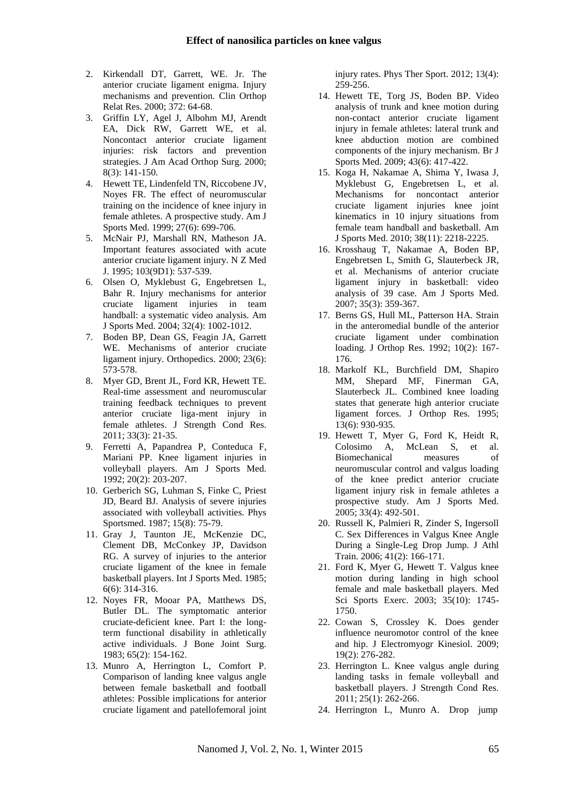- 2. Kirkendall DT, Garrett, WE. Jr. The anterior cruciate ligament enigma. Injury mechanisms and prevention. Clin Orthop Relat Res. 2000; 372: 64-68.
- 3. Griffin LY, Agel J, Albohm MJ, Arendt EA, Dick RW, Garrett WE, et al. Noncontact anterior cruciate ligament injuries: risk factors and prevention strategies. J Am Acad Orthop Surg. 2000; 8(3): 141-150.
- 4. Hewett TE, Lindenfeld TN, Riccobene JV, Noyes FR. The effect of neuromuscular training on the incidence of knee injury in female athletes. A prospective study. Am J Sports Med. 1999; 27(6): 699-706.
- 5. McNair PJ, Marshall RN, Matheson JA. Important features associated with acute anterior cruciate ligament injury. N Z Med J. 1995; 103(9D1): 537-539.
- 6. Olsen O, Myklebust G, Engebretsen L, Bahr R. Injury mechanisms for anterior cruciate ligament injuries in team handball: a systematic video analysis. Am J Sports Med. 2004; 32(4): 1002-1012.
- 7. Boden BP, Dean GS, Feagin JA, Garrett WE. Mechanisms of anterior cruciate ligament injury. Orthopedics. 2000; 23(6): 573-578.
- 8. Myer GD, Brent JL, Ford KR, Hewett TE. Real-time assessment and neuromuscular training feedback techniques to prevent anterior cruciate liga-ment injury in female athletes. J Strength Cond Res. 2011; 33(3): 21-35.
- 9. Ferretti A, Papandrea P, Conteduca F, Mariani PP. Knee ligament injuries in volleyball players. Am J Sports Med. 1992; 20(2): 203-207.
- 10. Gerberich SG, Luhman S, Finke C, Priest JD, Beard BJ. Analysis of severe injuries associated with volleyball activities. Phys Sportsmed. 1987; 15(8): 75-79.
- 11. Gray J, Taunton JE, McKenzie DC, Clement DB, McConkey JP, Davidson RG. A survey of injuries to the anterior cruciate ligament of the knee in female basketball players. Int J Sports Med. 1985; 6(6): 314-316.
- 12. Noyes FR, Mooar PA, Matthews DS, Butler DL. The symptomatic anterior cruciate-deficient knee. Part I: the longterm functional disability in athletically active individuals. J Bone Joint Surg. 1983; 65(2): 154-162.
- 13. Munro A, Herrington L, Comfort P. Comparison of landing knee valgus angle between female basketball and football athletes: Possible implications for anterior cruciate ligament and patellofemoral joint

injury rates. Phys Ther Sport. 2012; 13(4): 259-256.

- 14. Hewett TE, Torg JS, Boden BP. Video analysis of trunk and knee motion during non-contact anterior cruciate ligament injury in female athletes: lateral trunk and knee abduction motion are combined components of the injury mechanism. Br J Sports Med. 2009; 43(6): 417-422.
- 15. Koga H, Nakamae A, Shima Y, Iwasa J, Myklebust G, Engebretsen L, et al. Mechanisms for noncontact anterior cruciate ligament injuries knee joint kinematics in 10 injury situations from female team handball and basketball. Am J Sports Med. 2010; 38(11): 2218-2225.
- 16. Krosshaug T, Nakamae A, Boden BP, Engebretsen L, Smith G, Slauterbeck JR, et al. Mechanisms of anterior cruciate ligament injury in basketball: video analysis of 39 case. Am J Sports Med. 2007; 35(3): 359-367.
- 17. Berns GS, Hull ML, Patterson HA. Strain in the anteromedial bundle of the anterior cruciate ligament under combination loading. J Orthop Res. 1992; 10(2): 167- 176.
- 18. Markolf KL, Burchfield DM, Shapiro MM, Shepard MF, Finerman GA, Slauterbeck JL. Combined knee loading states that generate high anterior cruciate ligament forces. J Orthop Res. 1995; 13(6): 930-935.
- 19. Hewett T, Myer G, Ford K, Heidt R, Colosimo A, McLean S, et al. Biomechanical measures of neuromuscular control and valgus loading of the knee predict anterior cruciate ligament injury risk in female athletes a prospective study. Am J Sports Med. 2005; 33(4): 492-501.
- 20. Russell K, Palmieri R, Zinder S, Ingersoll C. Sex Differences in Valgus Knee Angle During a Single-Leg Drop Jump. J Athl Train. 2006; 41(2): 166-171.
- 21. Ford K, Myer G, Hewett T. Valgus knee motion during landing in high school female and male basketball players. Med Sci Sports Exerc. 2003; 35(10): 1745- 1750.
- 22. Cowan S, Crossley K. Does gender influence neuromotor control of the knee and hip. J Electromyogr Kinesiol. 2009; 19(2): 276-282.
- 23. Herrington L. Knee valgus angle during landing tasks in female volleyball and basketball players. J Strength Cond Res. 2011; 25(1): 262-266.
- 24. Herrington L, Munro A. Drop jump